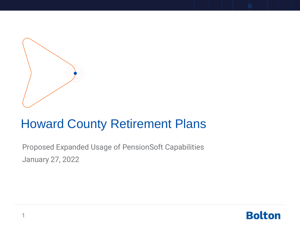

#### Howard County Retirement Plans

Proposed Expanded Usage of PensionSoft Capabilities January 27, 2022

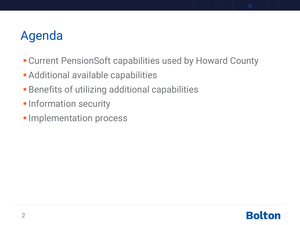# Agenda

- **EXECUTE: Current PensionSoft capabilities used by Howard County**
- **Example 2 Fig. 2 Fig. 2 Fig. 2 Fig. 2 Fig. 2 Fig. 2 Fig. 2 Fig. 2 Fig. 2 Fig. 2 Fig. 2 Fig. 2 Fig. 2 Fig. 2 Fig. 2 Fig. 2 Fig. 2 Fig. 2 Fig. 2 Fig. 2 Fig. 2 Fig. 2 Fig. 2 Fig. 2 Fig. 2 Fig. 2 Fig. 2 Fig. 2 Fig. 2 Fig. 2 F**
- **Benefits of utilizing additional capabilities**
- **.** Information security
- **.** Implementation process

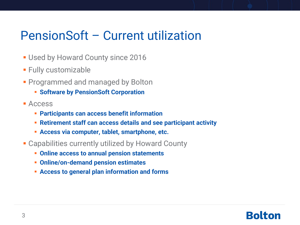#### PensionSoft – Current utilization

- **.** Used by Howard County since 2016
- **E** Fully customizable
- **Programmed and managed by Bolton** 
	- **Software by PensionSoft Corporation**
- Access
	- **Participants can access benefit information**
	- **Retirement staff can access details and see participant activity**
	- **Access via computer, tablet, smartphone, etc.**
- **Example 2 Capabilities currently utilized by Howard County** 
	- **Online access to annual pension statements**
	- **Online/on-demand pension estimates**
	- **Access to general plan information and forms**

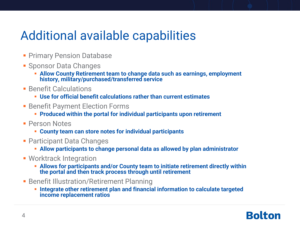### Additional available capabilities

- **Primary Pension Database**
- **E** Sponsor Data Changes
	- **EXECUTE: Allow County Retirement team to change data such as earnings, employment history, military/purchased/transferred service**
- **E** Benefit Calculations
	- **Use for official benefit calculations rather than current estimates**
- Benefit Payment Election Forms
	- **Produced within the portal for individual participants upon retirement**
- **· Person Notes** 
	- **County team can store notes for individual participants**
- Participant Data Changes
	- **Allow participants to change personal data as allowed by plan administrator**
- **Worktrack Integration** 
	- **EXECUTE: Allows for participants and/or County team to initiate retirement directly within the portal and then track process through until retirement**
- **EXECTE: Benefit Illustration/Retirement Planning** 
	- **EXECUTE: Integrate other retirement plan and financial information to calculate targeted income replacement ratios**

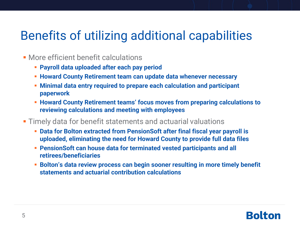### Benefits of utilizing additional capabilities

- **More efficient benefit calculations** 
	- **Payroll data uploaded after each pay period**
	- **EXECT:** Howard County Retirement team can update data whenever necessary
	- **Minimal data entry required to prepare each calculation and participant paperwork**
	- **Howard County Retirement teams' focus moves from preparing calculations to reviewing calculations and meeting with employees**
- **Timely data for benefit statements and actuarial valuations** 
	- **Data for Bolton extracted from PensionSoft after final fiscal year payroll is uploaded, eliminating the need for Howard County to provide full data files**
	- **PensionSoft can house data for terminated vested participants and all retirees/beneficiaries**
	- **E** Bolton's data review process can begin sooner resulting in more timely benefit **statements and actuarial contribution calculations**

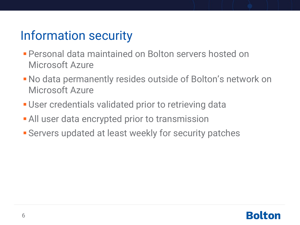# Information security

- **Personal data maintained on Bolton servers hosted on** Microsoft Azure
- **No data permanently resides outside of Bolton's network on** Microsoft Azure
- **User credentials validated prior to retrieving data**
- **All user data encrypted prior to transmission**
- **E** Servers updated at least weekly for security patches